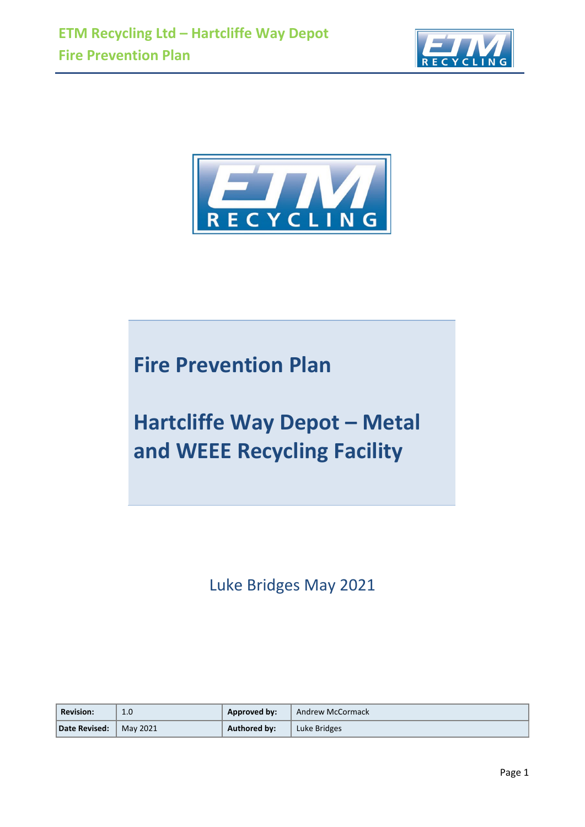



# **Fire Prevention Plan**

# **Hartcliffe Way Depot – Metal and WEEE Recycling Facility**

Luke Bridges May 2021

| <b>Revision:</b> | 1.0                  | Approved by:        | Andrew McCormack |
|------------------|----------------------|---------------------|------------------|
| Date Revised:    | $\parallel$ May 2021 | <b>Authored by:</b> | Luke Bridges     |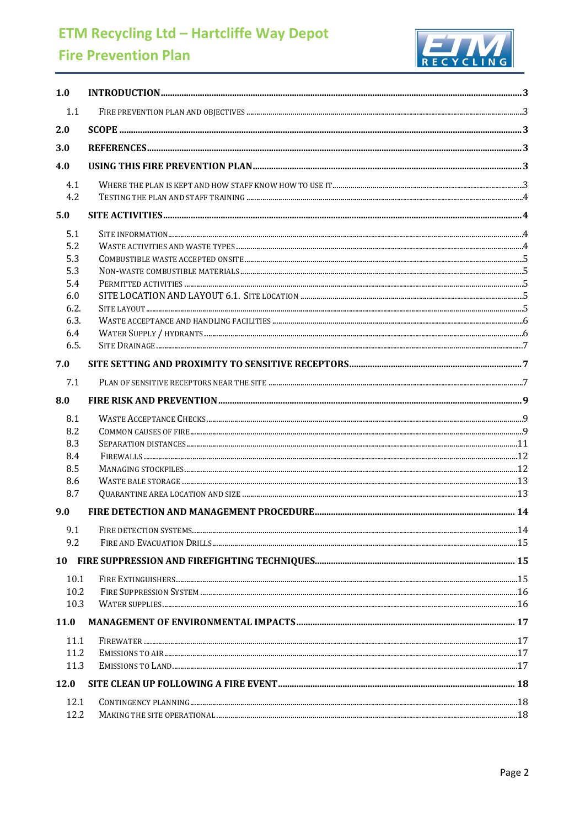# **ETM Recycling Ltd - Hartcliffe Way Depot**

# **Fire Prevention Plan**



| 1.1<br>2.0<br>3.0<br>4.0<br>4.1<br>4.2<br>5.0<br>5.1<br>5.2<br>5.3<br>5.3<br>5.4<br>6.0<br>6.2.<br>6.3.<br>6.4<br>6.5.<br>7.0<br>7.1<br>8.0<br>8.1<br>8.2<br>8.3<br>8.4<br>8.5<br>8.6<br>8.7<br>9.0<br>9.1<br>9.2<br>10<br>10.1<br>10.2<br>10.3<br>11.0<br>11.1<br>11.2<br>11.3<br>12.0<br>12.1<br>12.2 | 1.0 | $\bf INTRODUCTION 33$ |  |
|---------------------------------------------------------------------------------------------------------------------------------------------------------------------------------------------------------------------------------------------------------------------------------------------------------|-----|-----------------------|--|
|                                                                                                                                                                                                                                                                                                         |     |                       |  |
|                                                                                                                                                                                                                                                                                                         |     |                       |  |
|                                                                                                                                                                                                                                                                                                         |     |                       |  |
|                                                                                                                                                                                                                                                                                                         |     |                       |  |
|                                                                                                                                                                                                                                                                                                         |     |                       |  |
|                                                                                                                                                                                                                                                                                                         |     |                       |  |
|                                                                                                                                                                                                                                                                                                         |     |                       |  |
|                                                                                                                                                                                                                                                                                                         |     |                       |  |
|                                                                                                                                                                                                                                                                                                         |     |                       |  |
|                                                                                                                                                                                                                                                                                                         |     |                       |  |
|                                                                                                                                                                                                                                                                                                         |     |                       |  |
|                                                                                                                                                                                                                                                                                                         |     |                       |  |
|                                                                                                                                                                                                                                                                                                         |     |                       |  |
|                                                                                                                                                                                                                                                                                                         |     |                       |  |
|                                                                                                                                                                                                                                                                                                         |     |                       |  |
|                                                                                                                                                                                                                                                                                                         |     |                       |  |
|                                                                                                                                                                                                                                                                                                         |     |                       |  |
|                                                                                                                                                                                                                                                                                                         |     |                       |  |
|                                                                                                                                                                                                                                                                                                         |     |                       |  |
|                                                                                                                                                                                                                                                                                                         |     |                       |  |
|                                                                                                                                                                                                                                                                                                         |     |                       |  |
|                                                                                                                                                                                                                                                                                                         |     |                       |  |
|                                                                                                                                                                                                                                                                                                         |     |                       |  |
|                                                                                                                                                                                                                                                                                                         |     |                       |  |
|                                                                                                                                                                                                                                                                                                         |     |                       |  |
|                                                                                                                                                                                                                                                                                                         |     |                       |  |
|                                                                                                                                                                                                                                                                                                         |     |                       |  |
|                                                                                                                                                                                                                                                                                                         |     |                       |  |
|                                                                                                                                                                                                                                                                                                         |     |                       |  |
|                                                                                                                                                                                                                                                                                                         |     |                       |  |
|                                                                                                                                                                                                                                                                                                         |     |                       |  |
|                                                                                                                                                                                                                                                                                                         |     |                       |  |
|                                                                                                                                                                                                                                                                                                         |     |                       |  |
|                                                                                                                                                                                                                                                                                                         |     |                       |  |
|                                                                                                                                                                                                                                                                                                         |     |                       |  |
|                                                                                                                                                                                                                                                                                                         |     |                       |  |
|                                                                                                                                                                                                                                                                                                         |     |                       |  |
|                                                                                                                                                                                                                                                                                                         |     |                       |  |
|                                                                                                                                                                                                                                                                                                         |     |                       |  |
|                                                                                                                                                                                                                                                                                                         |     |                       |  |
|                                                                                                                                                                                                                                                                                                         |     |                       |  |
|                                                                                                                                                                                                                                                                                                         |     |                       |  |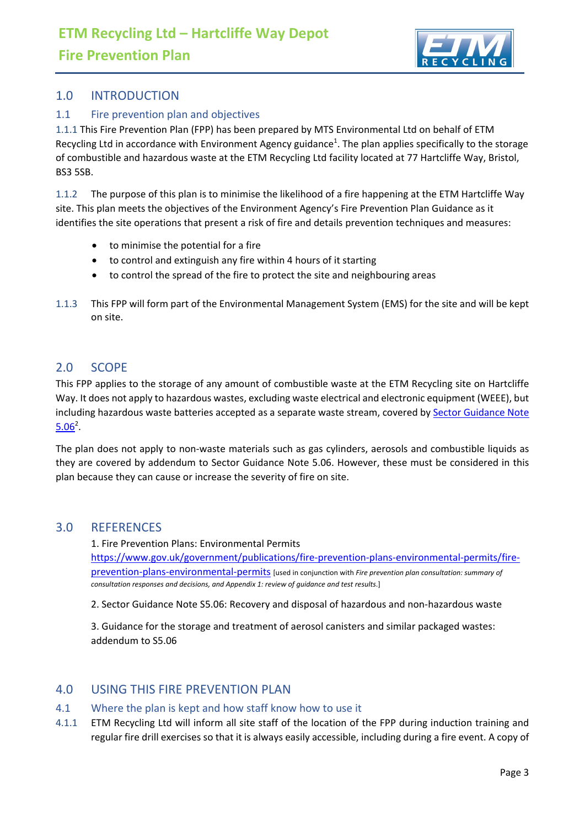

# <span id="page-2-0"></span>1.0 INTRODUCTION

# <span id="page-2-1"></span>1.1 Fire prevention plan and objectives

1.1.1 This Fire Prevention Plan (FPP) has been prepared by MTS Environmental Ltd on behalf of ETM Recycling Ltd in accordance with Environment Agency guidance<sup>1</sup>. The plan applies specifically to the storage of combustible and hazardous waste at the ETM Recycling Ltd facility located at 77 Hartcliffe Way, Bristol, BS3 5SB.

1.1.2 The purpose of this plan is to minimise the likelihood of a fire happening at the ETM Hartcliffe Way site. This plan meets the objectives of the Environment Agency's Fire Prevention Plan Guidance as it identifies the site operations that present a risk of fire and details prevention techniques and measures:

- to minimise the potential for a fire
- to control and extinguish any fire within 4 hours of it starting
- to control the spread of the fire to protect the site and neighbouring areas
- 1.1.3 This FPP will form part of the Environmental Management System (EMS) for the site and will be kept on site.

# <span id="page-2-2"></span>2.0 SCOPE

This FPP applies to the storage of any amount of combustible waste at the ETM Recycling site on Hartcliffe Way. It does not apply to hazardous wastes, excluding waste electrical and electronic equipment (WEEE), but including hazardous waste batteries accepted as a separate waste stream, covered by [Sector Guidance Note](about:blank)   $5.06^2$ .

The plan does not apply to non-waste materials such as gas cylinders, aerosols and combustible liquids as they are covered by addendum to Sector Guidance Note 5.06. However, these must be considered in this plan because they can cause or increase the severity of fire on site.

# <span id="page-2-3"></span>3.0 REFERENCES

1. Fire Prevention Plans: Environmental Permits [https://www.gov.uk/government/publications/fire-prevention-plans-environmental-permits/fire](https://www.gov.uk/government/publications/fire-prevention-plans-environmental-permits/fire-prevention-plans-environmental-permits)[prevention-plans-environmental-permits](https://www.gov.uk/government/publications/fire-prevention-plans-environmental-permits/fire-prevention-plans-environmental-permits) [used in conjunction with *[Fire prevention plan consultation: summary of](about:blank)  consultation responses [and decisions, and Appendix 1: review of guidance and test results](about:blank)*.]

2. Sector Guidance Note S5.06: Recovery and disposal of hazardous and non-hazardous waste

3. Guidance for the storage and treatment of aerosol canisters and similar packaged wastes: addendum to S5.06

# <span id="page-2-4"></span>4.0 USING THIS FIRE PREVENTION PLAN

#### <span id="page-2-5"></span>4.1 Where the plan is kept and how staff know how to use it

4.1.1 ETM Recycling Ltd will inform all site staff of the location of the FPP during induction training and regular fire drill exercises so that it is always easily accessible, including during a fire event. A copy of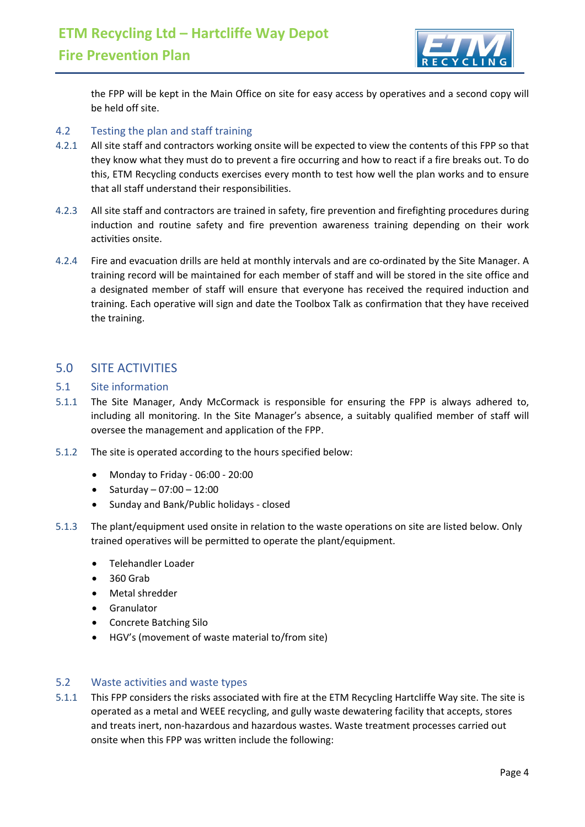

the FPP will be kept in the Main Office on site for easy access by operatives and a second copy will be held off site.

#### <span id="page-3-0"></span>4.2 Testing the plan and staff training

- 4.2.1 All site staff and contractors working onsite will be expected to view the contents of this FPP so that they know what they must do to prevent a fire occurring and how to react if a fire breaks out. To do this, ETM Recycling conducts exercises every month to test how well the plan works and to ensure that all staff understand their responsibilities.
- 4.2.3 All site staff and contractors are trained in safety, fire prevention and firefighting procedures during induction and routine safety and fire prevention awareness training depending on their work activities onsite.
- 4.2.4 Fire and evacuation drills are held at monthly intervals and are co-ordinated by the Site Manager. A training record will be maintained for each member of staff and will be stored in the site office and a designated member of staff will ensure that everyone has received the required induction and training. Each operative will sign and date the Toolbox Talk as confirmation that they have received the training.

# <span id="page-3-1"></span>5.0 SITE ACTIVITIES

#### <span id="page-3-2"></span>5.1 Site information

- 5.1.1 The Site Manager, Andy McCormack is responsible for ensuring the FPP is always adhered to, including all monitoring. In the Site Manager's absence, a suitably qualified member of staff will oversee the management and application of the FPP.
- 5.1.2 The site is operated according to the hours specified below:
	- Monday to Friday 06:00 20:00
	- Saturday  $07:00 12:00$
	- Sunday and Bank/Public holidays closed
- 5.1.3 The plant/equipment used onsite in relation to the waste operations on site are listed below. Only trained operatives will be permitted to operate the plant/equipment.
	- Telehandler Loader
	- 360 Grab
	- Metal shredder
	- Granulator
	- Concrete Batching Silo
	- HGV's (movement of waste material to/from site)

#### <span id="page-3-3"></span>5.2 Waste activities and waste types

5.1.1 This FPP considers the risks associated with fire at the ETM Recycling Hartcliffe Way site. The site is operated as a metal and WEEE recycling, and gully waste dewatering facility that accepts, stores and treats inert, non-hazardous and hazardous wastes. Waste treatment processes carried out onsite when this FPP was written include the following: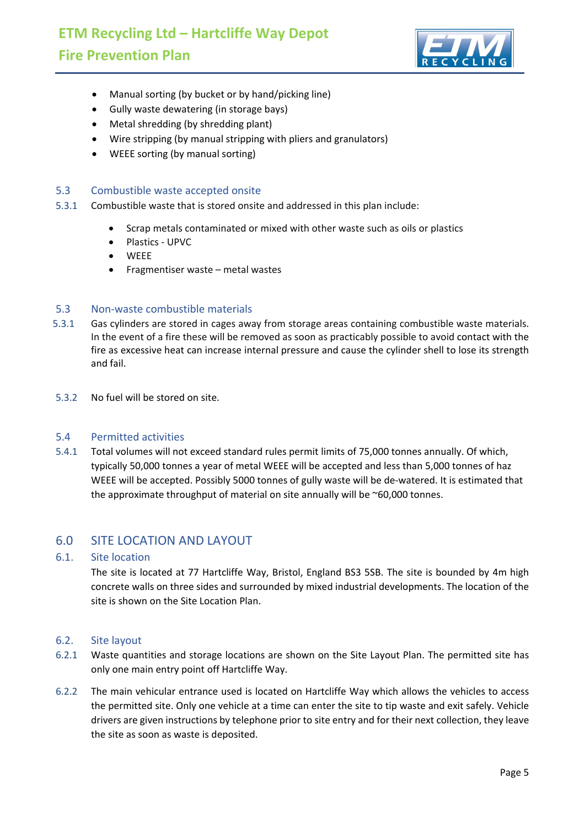

- Manual sorting (by bucket or by hand/picking line)
- Gully waste dewatering (in storage bays)
- Metal shredding (by shredding plant)
- Wire stripping (by manual stripping with pliers and granulators)
- WEEE sorting (by manual sorting)

#### <span id="page-4-0"></span>5.3 Combustible waste accepted onsite

- 5.3.1 Combustible waste that is stored onsite and addressed in this plan include:
	- Scrap metals contaminated or mixed with other waste such as oils or plastics
	- Plastics UPVC
	- WEEE
	- Fragmentiser waste metal wastes

#### <span id="page-4-1"></span>5.3 Non-waste combustible materials

- 5.3.1 Gas cylinders are stored in cages away from storage areas containing combustible waste materials. In the event of a fire these will be removed as soon as practicably possible to avoid contact with the fire as excessive heat can increase internal pressure and cause the cylinder shell to lose its strength and fail.
- 5.3.2 No fuel will be stored on site.

#### <span id="page-4-2"></span>5.4 Permitted activities

5.4.1 Total volumes will not exceed standard rules permit limits of 75,000 tonnes annually. Of which, typically 50,000 tonnes a year of metal WEEE will be accepted and less than 5,000 tonnes of haz WEEE will be accepted. Possibly 5000 tonnes of gully waste will be de-watered. It is estimated that the approximate throughput of material on site annually will be ~60,000 tonnes.

# <span id="page-4-3"></span>6.0 SITE LOCATION AND LAYOUT

#### 6.1. Site location

The site is located at 77 Hartcliffe Way, Bristol, England BS3 5SB. The site is bounded by 4m high concrete walls on three sides and surrounded by mixed industrial developments. The location of the site is shown on the Site Location Plan.

#### <span id="page-4-4"></span>6.2. Site layout

- 6.2.1 Waste quantities and storage locations are shown on the Site Layout Plan. The permitted site has only one main entry point off Hartcliffe Way.
- 6.2.2 The main vehicular entrance used is located on Hartcliffe Way which allows the vehicles to access the permitted site. Only one vehicle at a time can enter the site to tip waste and exit safely. Vehicle drivers are given instructions by telephone prior to site entry and for their next collection, they leave the site as soon as waste is deposited.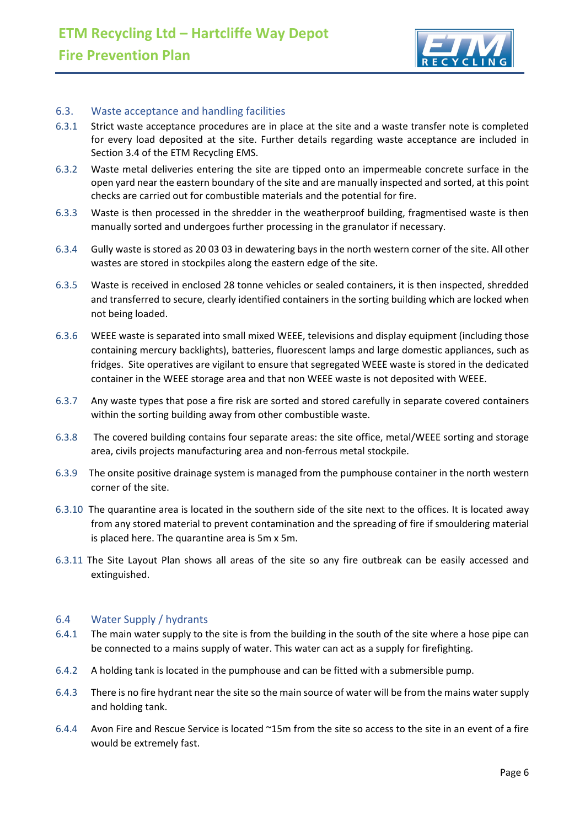

#### <span id="page-5-0"></span>6.3. Waste acceptance and handling facilities

- 6.3.1 Strict waste acceptance procedures are in place at the site and a waste transfer note is completed for every load deposited at the site. Further details regarding waste acceptance are included in Section 3.4 of the ETM Recycling EMS.
- 6.3.2 Waste metal deliveries entering the site are tipped onto an impermeable concrete surface in the open yard near the eastern boundary of the site and are manually inspected and sorted, at this point checks are carried out for combustible materials and the potential for fire.
- 6.3.3 Waste is then processed in the shredder in the weatherproof building, fragmentised waste is then manually sorted and undergoes further processing in the granulator if necessary.
- 6.3.4 Gully waste is stored as 20 03 03 in dewatering bays in the north western corner of the site. All other wastes are stored in stockpiles along the eastern edge of the site.
- 6.3.5 Waste is received in enclosed 28 tonne vehicles or sealed containers, it is then inspected, shredded and transferred to secure, clearly identified containers in the sorting building which are locked when not being loaded.
- 6.3.6 WEEE waste is separated into small mixed WEEE, televisions and display equipment (including those containing mercury backlights), batteries, fluorescent lamps and large domestic appliances, such as fridges. Site operatives are vigilant to ensure that segregated WEEE waste is stored in the dedicated container in the WEEE storage area and that non WEEE waste is not deposited with WEEE.
- 6.3.7 Any waste types that pose a fire risk are sorted and stored carefully in separate covered containers within the sorting building away from other combustible waste.
- 6.3.8 The covered building contains four separate areas: the site office, metal/WEEE sorting and storage area, civils projects manufacturing area and non-ferrous metal stockpile.
- 6.3.9 The onsite positive drainage system is managed from the pumphouse container in the north western corner of the site.
- 6.3.10 The quarantine area is located in the southern side of the site next to the offices. It is located away from any stored material to prevent contamination and the spreading of fire if smouldering material is placed here. The quarantine area is 5m x 5m.
- 6.3.11 The Site Layout Plan shows all areas of the site so any fire outbreak can be easily accessed and extinguished.

#### <span id="page-5-1"></span>6.4 Water Supply / hydrants

- 6.4.1 The main water supply to the site is from the building in the south of the site where a hose pipe can be connected to a mains supply of water. This water can act as a supply for firefighting.
- 6.4.2 A holding tank is located in the pumphouse and can be fitted with a submersible pump.
- 6.4.3 There is no fire hydrant near the site so the main source of water will be from the mains water supply and holding tank.
- 6.4.4 Avon Fire and Rescue Service is located ~15m from the site so access to the site in an event of a fire would be extremely fast.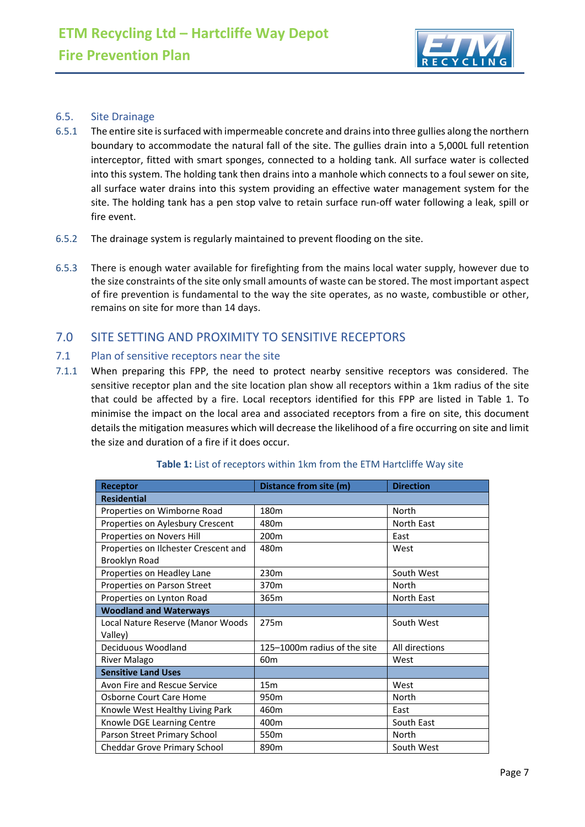

#### <span id="page-6-0"></span>6.5. Site Drainage

- 6.5.1 The entire site is surfaced with impermeable concrete and drains into three gullies along the northern boundary to accommodate the natural fall of the site. The gullies drain into a 5,000L full retention interceptor, fitted with smart sponges, connected to a holding tank. All surface water is collected into this system. The holding tank then drains into a manhole which connects to a foul sewer on site, all surface water drains into this system providing an effective water management system for the site. The holding tank has a pen stop valve to retain surface run-off water following a leak, spill or fire event.
- 6.5.2 The drainage system is regularly maintained to prevent flooding on the site.
- 6.5.3 There is enough water available for firefighting from the mains local water supply, however due to the size constraints of the site only small amounts of waste can be stored. The most important aspect of fire prevention is fundamental to the way the site operates, as no waste, combustible or other, remains on site for more than 14 days.

# <span id="page-6-1"></span>7.0 SITE SETTING AND PROXIMITY TO SENSITIVE RECEPTORS

#### <span id="page-6-2"></span>7.1 Plan of sensitive receptors near the site

7.1.1 When preparing this FPP, the need to protect nearby sensitive receptors was considered. The sensitive receptor plan and the site location plan show all receptors within a 1km radius of the site that could be affected by a fire. Local receptors identified for this FPP are listed in Table 1. To minimise the impact on the local area and associated receptors from a fire on site, this document details the mitigation measures which will decrease the likelihood of a fire occurring on site and limit the size and duration of a fire if it does occur.

| Receptor                             | Distance from site (m)       | <b>Direction</b> |  |  |
|--------------------------------------|------------------------------|------------------|--|--|
| <b>Residential</b>                   |                              |                  |  |  |
| Properties on Wimborne Road          | 180m                         | North            |  |  |
| Properties on Aylesbury Crescent     | 480m                         | North East       |  |  |
| Properties on Novers Hill            | 200 <sub>m</sub>             | East             |  |  |
| Properties on Ilchester Crescent and | 480m                         | West             |  |  |
| <b>Brooklyn Road</b>                 |                              |                  |  |  |
| Properties on Headley Lane           | 230m                         | South West       |  |  |
| Properties on Parson Street          | 370 <sub>m</sub>             | North            |  |  |
| Properties on Lynton Road            | 365m                         | North East       |  |  |
| <b>Woodland and Waterways</b>        |                              |                  |  |  |
| Local Nature Reserve (Manor Woods    | 275m                         | South West       |  |  |
| Valley)                              |                              |                  |  |  |
| Deciduous Woodland                   | 125-1000m radius of the site | All directions   |  |  |
| River Malago                         | 60 <sub>m</sub>              | West             |  |  |
| <b>Sensitive Land Uses</b>           |                              |                  |  |  |
| Avon Fire and Rescue Service         | 15 <sub>m</sub>              | West             |  |  |
| Osborne Court Care Home              | 950 <sub>m</sub>             | North            |  |  |
| Knowle West Healthy Living Park      | 460m                         | East             |  |  |
| Knowle DGE Learning Centre           | 400m                         | South East       |  |  |
| Parson Street Primary School         | 550 <sub>m</sub>             | North            |  |  |
| Cheddar Grove Primary School         | 890m                         | South West       |  |  |

#### **Table 1:** List of receptors within 1km from the ETM Hartcliffe Way site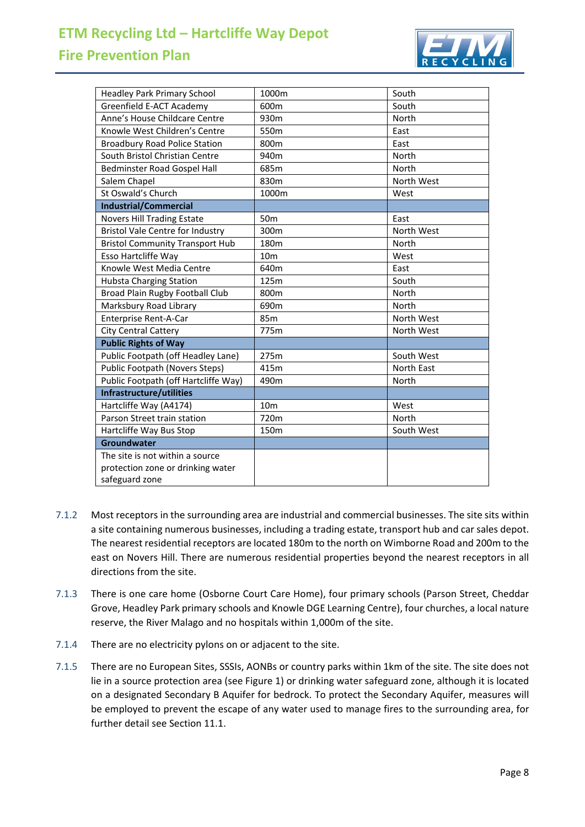# **ETM Recycling Ltd – Hartcliffe Way Depot**

# **Fire Prevention Plan**



| <b>Headley Park Primary School</b>      | 1000m            | South      |  |
|-----------------------------------------|------------------|------------|--|
| Greenfield E-ACT Academy                | 600m             | South      |  |
| Anne's House Childcare Centre           | 930m             | North      |  |
| Knowle West Children's Centre           | 550m             | East       |  |
| <b>Broadbury Road Police Station</b>    | 800m             | East       |  |
| South Bristol Christian Centre          | 940m             | North      |  |
| Bedminster Road Gospel Hall             | 685m             | North      |  |
| Salem Chapel                            | 830m             | North West |  |
| St Oswald's Church                      | 1000m            | West       |  |
| <b>Industrial/Commercial</b>            |                  |            |  |
| Novers Hill Trading Estate              | 50 <sub>m</sub>  | East       |  |
| <b>Bristol Vale Centre for Industry</b> | 300m             | North West |  |
| <b>Bristol Community Transport Hub</b>  | 180 <sub>m</sub> | North      |  |
| Esso Hartcliffe Way                     | 10 <sub>m</sub>  | West       |  |
| Knowle West Media Centre                | 640m             | East       |  |
| <b>Hubsta Charging Station</b>          | 125m             | South      |  |
| Broad Plain Rugby Football Club         | 800m             | North      |  |
| Marksbury Road Library                  | 690m             | North      |  |
| Enterprise Rent-A-Car                   | 85m              | North West |  |
| <b>City Central Cattery</b>             | 775m             | North West |  |
| <b>Public Rights of Way</b>             |                  |            |  |
| Public Footpath (off Headley Lane)      | 275m             | South West |  |
| <b>Public Footpath (Novers Steps)</b>   | 415m             | North East |  |
| Public Footpath (off Hartcliffe Way)    | 490m             | North      |  |
| Infrastructure/utilities                |                  |            |  |
| Hartcliffe Way (A4174)                  | 10 <sub>m</sub>  | West       |  |
| Parson Street train station             | 720m             | North      |  |
| Hartcliffe Way Bus Stop                 | 150m             | South West |  |
| Groundwater                             |                  |            |  |
| The site is not within a source         |                  |            |  |
| protection zone or drinking water       |                  |            |  |
| safeguard zone                          |                  |            |  |

- 7.1.2 Most receptors in the surrounding area are industrial and commercial businesses. The site sits within a site containing numerous businesses, including a trading estate, transport hub and car sales depot. The nearest residential receptors are located 180m to the north on Wimborne Road and 200m to the east on Novers Hill. There are numerous residential properties beyond the nearest receptors in all directions from the site.
- 7.1.3 There is one care home (Osborne Court Care Home), four primary schools (Parson Street, Cheddar Grove, Headley Park primary schools and Knowle DGE Learning Centre), four churches, a local nature reserve, the River Malago and no hospitals within 1,000m of the site.
- 7.1.4 There are no electricity pylons on or adjacent to the site.
- 7.1.5 There are no European Sites, SSSIs, AONBs or country parks within 1km of the site. The site does not lie in a source protection area (see Figure 1) or drinking water safeguard zone, although it is located on a designated Secondary B Aquifer for bedrock. To protect the Secondary Aquifer, measures will be employed to prevent the escape of any water used to manage fires to the surrounding area, for further detail see Section 11.1.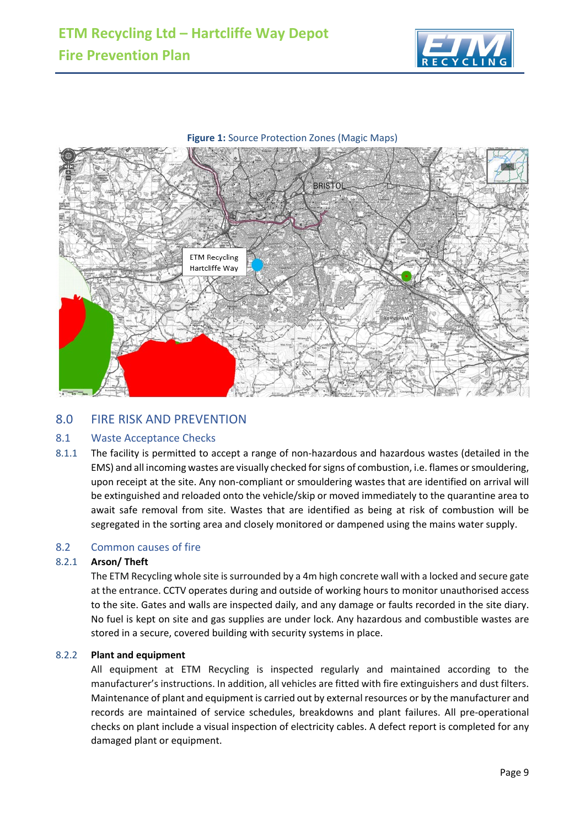





# <span id="page-8-0"></span>8.0 FIRE RISK AND PREVENTION

#### <span id="page-8-1"></span>8.1 Waste Acceptance Checks

8.1.1 The facility is permitted to accept a range of non-hazardous and hazardous wastes (detailed in the EMS) and all incoming wastes are visually checked for signs of combustion, i.e. flames or smouldering, upon receipt at the site. Any non-compliant or smouldering wastes that are identified on arrival will be extinguished and reloaded onto the vehicle/skip or moved immediately to the quarantine area to await safe removal from site. Wastes that are identified as being at risk of combustion will be segregated in the sorting area and closely monitored or dampened using the mains water supply.

#### <span id="page-8-2"></span>8.2 Common causes of fire

#### 8.2.1 **Arson/ Theft**

The ETM Recycling whole site is surrounded by a 4m high concrete wall with a locked and secure gate at the entrance. CCTV operates during and outside of working hours to monitor unauthorised access to the site. Gates and walls are inspected daily, and any damage or faults recorded in the site diary. No fuel is kept on site and gas supplies are under lock. Any hazardous and combustible wastes are stored in a secure, covered building with security systems in place.

#### 8.2.2 **Plant and equipment**

All equipment at ETM Recycling is inspected regularly and maintained according to the manufacturer's instructions. In addition, all vehicles are fitted with fire extinguishers and dust filters. Maintenance of plant and equipment is carried out by external resources or by the manufacturer and records are maintained of service schedules, breakdowns and plant failures. All pre-operational checks on plant include a visual inspection of electricity cables. A defect report is completed for any damaged plant or equipment.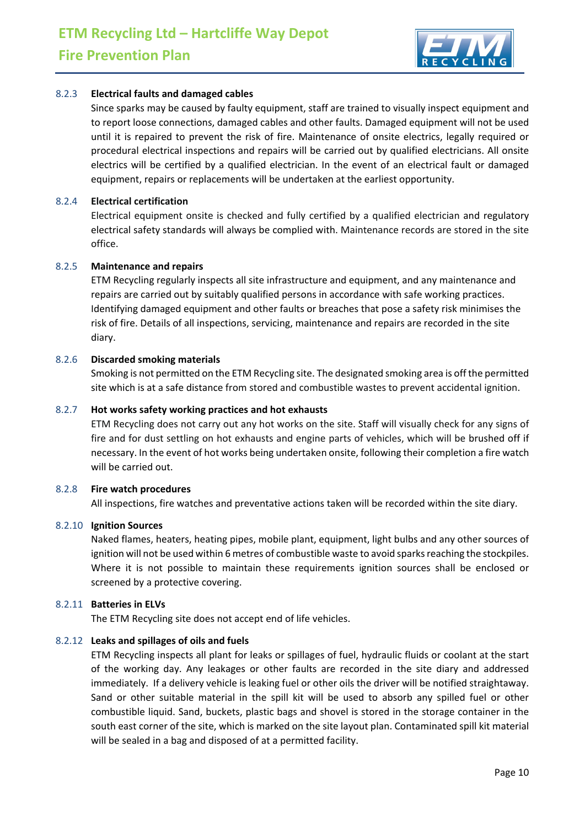

#### 8.2.3 **Electrical faults and damaged cables**

Since sparks may be caused by faulty equipment, staff are trained to visually inspect equipment and to report loose connections, damaged cables and other faults. Damaged equipment will not be used until it is repaired to prevent the risk of fire. Maintenance of onsite electrics, legally required or procedural electrical inspections and repairs will be carried out by qualified electricians. All onsite electrics will be certified by a qualified electrician. In the event of an electrical fault or damaged equipment, repairs or replacements will be undertaken at the earliest opportunity.

#### 8.2.4 **Electrical certification**

Electrical equipment onsite is checked and fully certified by a qualified electrician and regulatory electrical safety standards will always be complied with. Maintenance records are stored in the site office.

#### 8.2.5 **Maintenance and repairs**

ETM Recycling regularly inspects all site infrastructure and equipment, and any maintenance and repairs are carried out by suitably qualified persons in accordance with safe working practices. Identifying damaged equipment and other faults or breaches that pose a safety risk minimises the risk of fire. Details of all inspections, servicing, maintenance and repairs are recorded in the site diary.

#### 8.2.6 **Discarded smoking materials**

Smoking is not permitted on the ETM Recycling site. The designated smoking area is off the permitted site which is at a safe distance from stored and combustible wastes to prevent accidental ignition.

#### 8.2.7 **Hot works safety working practices and hot exhausts**

ETM Recycling does not carry out any hot works on the site. Staff will visually check for any signs of fire and for dust settling on hot exhausts and engine parts of vehicles, which will be brushed off if necessary. In the event of hot works being undertaken onsite, following their completion a fire watch will be carried out.

#### 8.2.8 **Fire watch procedures**

All inspections, fire watches and preventative actions taken will be recorded within the site diary.

#### 8.2.10 **Ignition Sources**

Naked flames, heaters, heating pipes, mobile plant, equipment, light bulbs and any other sources of ignition will not be used within 6 metres of combustible waste to avoid sparks reaching the stockpiles. Where it is not possible to maintain these requirements ignition sources shall be enclosed or screened by a protective covering.

#### 8.2.11 **Batteries in ELVs**

The ETM Recycling site does not accept end of life vehicles.

#### 8.2.12 **Leaks and spillages of oils and fuels**

ETM Recycling inspects all plant for leaks or spillages of fuel, hydraulic fluids or coolant at the start of the working day. Any leakages or other faults are recorded in the site diary and addressed immediately. If a delivery vehicle is leaking fuel or other oils the driver will be notified straightaway. Sand or other suitable material in the spill kit will be used to absorb any spilled fuel or other combustible liquid. Sand, buckets, plastic bags and shovel is stored in the storage container in the south east corner of the site, which is marked on the site layout plan. Contaminated spill kit material will be sealed in a bag and disposed of at a permitted facility.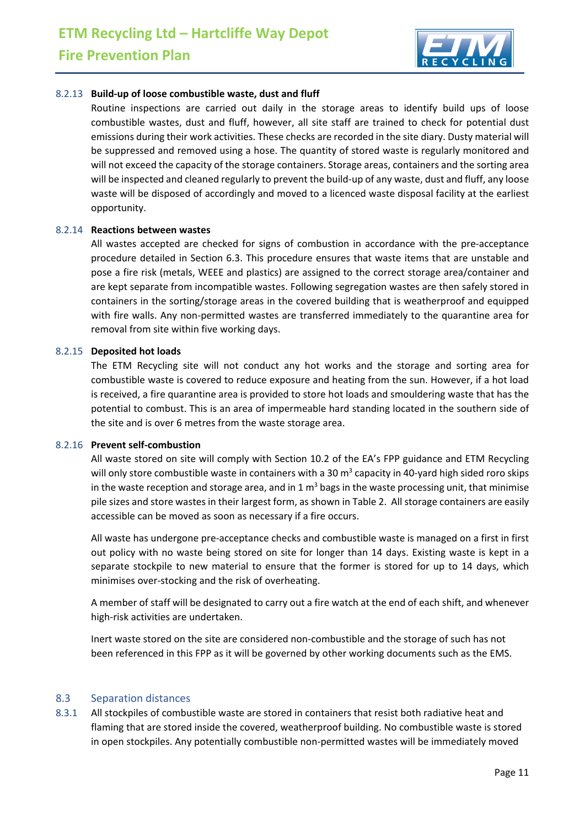

#### 8.2.13 **Build-up of loose combustible waste, dust and fluff**

Routine inspections are carried out daily in the storage areas to identify build ups of loose combustible wastes, dust and fluff, however, all site staff are trained to check for potential dust emissions during their work activities. These checks are recorded in the site diary. Dusty material will be suppressed and removed using a hose. The quantity of stored waste is regularly monitored and will not exceed the capacity of the storage containers. Storage areas, containers and the sorting area will be inspected and cleaned regularly to prevent the build-up of any waste, dust and fluff, any loose waste will be disposed of accordingly and moved to a licenced waste disposal facility at the earliest opportunity.

#### 8.2.14 **Reactions between wastes**

All wastes accepted are checked for signs of combustion in accordance with the pre-acceptance procedure detailed in Section 6.3. This procedure ensures that waste items that are unstable and pose a fire risk (metals, WEEE and plastics) are assigned to the correct storage area/container and are kept separate from incompatible wastes. Following segregation wastes are then safely stored in containers in the sorting/storage areas in the covered building that is weatherproof and equipped with fire walls. Any non-permitted wastes are transferred immediately to the quarantine area for removal from site within five working days.

#### 8.2.15 **Deposited hot loads**

The ETM Recycling site will not conduct any hot works and the storage and sorting area for combustible waste is covered to reduce exposure and heating from the sun. However, if a hot load is received, a fire quarantine area is provided to store hot loads and smouldering waste that has the potential to combust. This is an area of impermeable hard standing located in the southern side of the site and is over 6 metres from the waste storage area.

#### 8.2.16 **Prevent self-combustion**

All waste stored on site will comply with Section 10.2 of the EA's FPP guidance and ETM Recycling will only store combustible waste in containers with a 30  $\text{m}^3$  capacity in 40-yard high sided roro skips in the waste reception and storage area, and in  $1 \text{ m}^3$  bags in the waste processing unit, that minimise pile sizes and store wastes in their largest form, as shown in Table 2. All storage containers are easily accessible can be moved as soon as necessary if a fire occurs.

All waste has undergone pre-acceptance checks and combustible waste is managed on a first in first out policy with no waste being stored on site for longer than 14 days. Existing waste is kept in a separate stockpile to new material to ensure that the former is stored for up to 14 days, which minimises over-stocking and the risk of overheating.

A member of staff will be designated to carry out a fire watch at the end of each shift, and whenever high-risk activities are undertaken.

Inert waste stored on the site are considered non-combustible and the storage of such has not been referenced in this FPP as it will be governed by other working documents such as the EMS.

#### <span id="page-10-0"></span>8.3 Separation distances

8.3.1 All stockpiles of combustible waste are stored in containers that resist both radiative heat and flaming that are stored inside the covered, weatherproof building. No combustible waste is stored in open stockpiles. Any potentially combustible non-permitted wastes will be immediately moved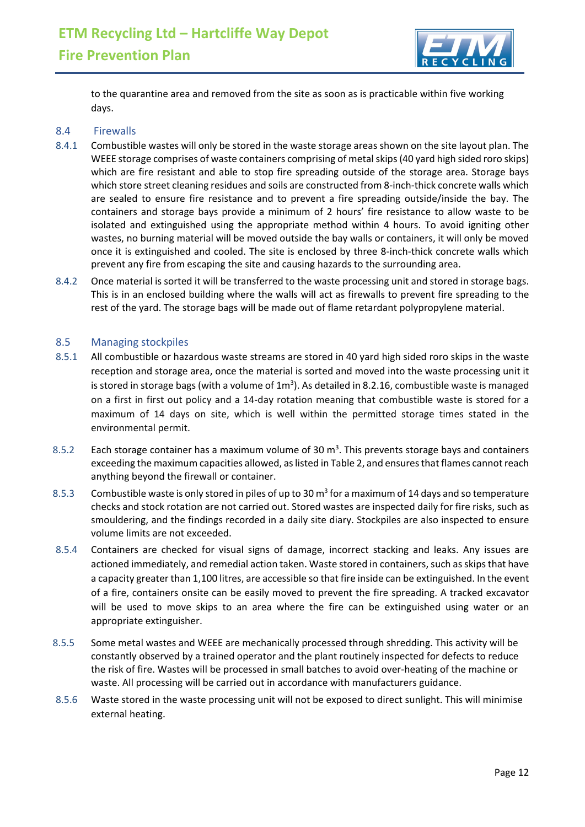

to the quarantine area and removed from the site as soon as is practicable within five working days.

#### <span id="page-11-0"></span>8.4 Firewalls

- 8.4.1 Combustible wastes will only be stored in the waste storage areas shown on the site layout plan. The WEEE storage comprises of waste containers comprising of metal skips(40 yard high sided roro skips) which are fire resistant and able to stop fire spreading outside of the storage area. Storage bays which store street cleaning residues and soils are constructed from 8-inch-thick concrete walls which are sealed to ensure fire resistance and to prevent a fire spreading outside/inside the bay. The containers and storage bays provide a minimum of 2 hours' fire resistance to allow waste to be isolated and extinguished using the appropriate method within 4 hours. To avoid igniting other wastes, no burning material will be moved outside the bay walls or containers, it will only be moved once it is extinguished and cooled. The site is enclosed by three 8-inch-thick concrete walls which prevent any fire from escaping the site and causing hazards to the surrounding area.
- 8.4.2 Once material is sorted it will be transferred to the waste processing unit and stored in storage bags. This is in an enclosed building where the walls will act as firewalls to prevent fire spreading to the rest of the yard. The storage bags will be made out of flame retardant polypropylene material.

#### <span id="page-11-1"></span>8.5 Managing stockpiles

- 8.5.1 All combustible or hazardous waste streams are stored in 40 yard high sided roro skips in the waste reception and storage area, once the material is sorted and moved into the waste processing unit it is stored in storage bags (with a volume of  $1m<sup>3</sup>$ ). As detailed in 8.2.16, combustible waste is managed on a first in first out policy and a 14-day rotation meaning that combustible waste is stored for a maximum of 14 days on site, which is well within the permitted storage times stated in the environmental permit.
- 8.5.2 Each storage container has a maximum volume of 30  $m<sup>3</sup>$ . This prevents storage bays and containers exceeding the maximum capacities allowed, as listed in Table 2, and ensures that flames cannot reach anything beyond the firewall or container.
- 8.5.3 Combustible waste is only stored in piles of up to 30 m<sup>3</sup> for a maximum of 14 days and so temperature checks and stock rotation are not carried out. Stored wastes are inspected daily for fire risks, such as smouldering, and the findings recorded in a daily site diary. Stockpiles are also inspected to ensure volume limits are not exceeded.
- 8.5.4 Containers are checked for visual signs of damage, incorrect stacking and leaks. Any issues are actioned immediately, and remedial action taken. Waste stored in containers, such as skips that have a capacity greater than 1,100 litres, are accessible so that fire inside can be extinguished. In the event of a fire, containers onsite can be easily moved to prevent the fire spreading. A tracked excavator will be used to move skips to an area where the fire can be extinguished using water or an appropriate extinguisher.
- 8.5.5 Some metal wastes and WEEE are mechanically processed through shredding. This activity will be constantly observed by a trained operator and the plant routinely inspected for defects to reduce the risk of fire. Wastes will be processed in small batches to avoid over-heating of the machine or waste. All processing will be carried out in accordance with manufacturers guidance.
- 8.5.6 Waste stored in the waste processing unit will not be exposed to direct sunlight. This will minimise external heating.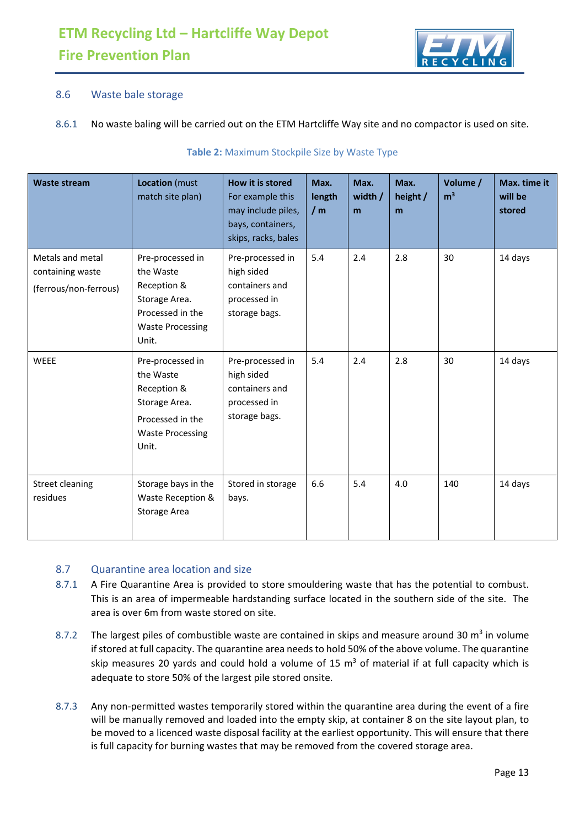

### <span id="page-12-0"></span>8.6 Waste bale storage

#### 8.6.1 No waste baling will be carried out on the ETM Hartcliffe Way site and no compactor is used on site.

| <b>Waste stream</b>                                           | Location (must<br>match site plan)                                                                                    | How it is stored<br>For example this<br>may include piles,<br>bays, containers,<br>skips, racks, bales | Max.<br>length<br>/m | Max.<br>width /<br>m | Max.<br>height /<br>m | Volume /<br>m <sup>3</sup> | Max. time it<br>will be<br>stored |
|---------------------------------------------------------------|-----------------------------------------------------------------------------------------------------------------------|--------------------------------------------------------------------------------------------------------|----------------------|----------------------|-----------------------|----------------------------|-----------------------------------|
| Metals and metal<br>containing waste<br>(ferrous/non-ferrous) | Pre-processed in<br>the Waste<br>Reception &<br>Storage Area.<br>Processed in the<br><b>Waste Processing</b><br>Unit. | Pre-processed in<br>high sided<br>containers and<br>processed in<br>storage bags.                      | 5.4                  | 2.4                  | 2.8                   | 30                         | 14 days                           |
| <b>WEEE</b>                                                   | Pre-processed in<br>the Waste<br>Reception &<br>Storage Area.<br>Processed in the<br><b>Waste Processing</b><br>Unit. | Pre-processed in<br>high sided<br>containers and<br>processed in<br>storage bags.                      | 5.4                  | 2.4                  | 2.8                   | 30                         | 14 days                           |
| <b>Street cleaning</b><br>residues                            | Storage bays in the<br>Waste Reception &<br>Storage Area                                                              | Stored in storage<br>bays.                                                                             | 6.6                  | 5.4                  | 4.0                   | 140                        | 14 days                           |

#### **Table 2:** Maximum Stockpile Size by Waste Type

#### <span id="page-12-1"></span>8.7 Quarantine area location and size

- 8.7.1 A Fire Quarantine Area is provided to store smouldering waste that has the potential to combust. This is an area of impermeable hardstanding surface located in the southern side of the site. The area is over 6m from waste stored on site.
- 8.7.2 The largest piles of combustible waste are contained in skips and measure around 30  $\text{m}^3$  in volume if stored at full capacity. The quarantine area needs to hold 50% of the above volume. The quarantine skip measures 20 yards and could hold a volume of 15  $m<sup>3</sup>$  of material if at full capacity which is adequate to store 50% of the largest pile stored onsite.
- 8.7.3 Any non-permitted wastes temporarily stored within the quarantine area during the event of a fire will be manually removed and loaded into the empty skip, at container 8 on the site layout plan, to be moved to a licenced waste disposal facility at the earliest opportunity. This will ensure that there is full capacity for burning wastes that may be removed from the covered storage area.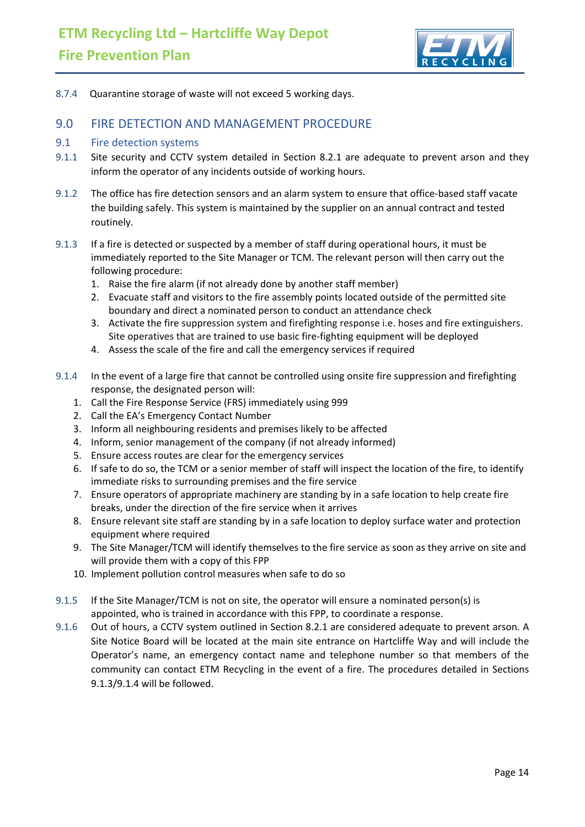

8.7.4 Quarantine storage of waste will not exceed 5 working days.

### <span id="page-13-0"></span>9.0 FIRE DETECTION AND MANAGEMENT PROCEDURE

#### <span id="page-13-1"></span>9.1 Fire detection systems

- 9.1.1 Site security and CCTV system detailed in Section 8.2.1 are adequate to prevent arson and they inform the operator of any incidents outside of working hours.
- 9.1.2 The office has fire detection sensors and an alarm system to ensure that office-based staff vacate the building safely. This system is maintained by the supplier on an annual contract and tested routinely.
- 9.1.3 If a fire is detected or suspected by a member of staff during operational hours, it must be immediately reported to the Site Manager or TCM. The relevant person will then carry out the following procedure:
	- 1. Raise the fire alarm (if not already done by another staff member)
	- 2. Evacuate staff and visitors to the fire assembly points located outside of the permitted site boundary and direct a nominated person to conduct an attendance check
	- 3. Activate the fire suppression system and firefighting response i.e. hoses and fire extinguishers. Site operatives that are trained to use basic fire-fighting equipment will be deployed
	- 4. Assess the scale of the fire and call the emergency services if required
- 9.1.4 In the event of a large fire that cannot be controlled using onsite fire suppression and firefighting response, the designated person will:
	- 1. Call the Fire Response Service (FRS) immediately using 999
	- 2. Call the EA's Emergency Contact Number
	- 3. Inform all neighbouring residents and premises likely to be affected
	- 4. Inform, senior management of the company (if not already informed)
	- 5. Ensure access routes are clear for the emergency services
	- 6. If safe to do so, the TCM or a senior member of staff will inspect the location of the fire, to identify immediate risks to surrounding premises and the fire service
	- 7. Ensure operators of appropriate machinery are standing by in a safe location to help create fire breaks, under the direction of the fire service when it arrives
	- 8. Ensure relevant site staff are standing by in a safe location to deploy surface water and protection equipment where required
	- 9. The Site Manager/TCM will identify themselves to the fire service as soon as they arrive on site and will provide them with a copy of this FPP
	- 10. Implement pollution control measures when safe to do so
- 9.1.5 If the Site Manager/TCM is not on site, the operator will ensure a nominated person(s) is appointed, who is trained in accordance with this FPP, to coordinate a response.
- 9.1.6 Out of hours, a CCTV system outlined in Section 8.2.1 are considered adequate to prevent arson. A Site Notice Board will be located at the main site entrance on Hartcliffe Way and will include the Operator's name, an emergency contact name and telephone number so that members of the community can contact ETM Recycling in the event of a fire. The procedures detailed in Sections 9.1.3/9.1.4 will be followed.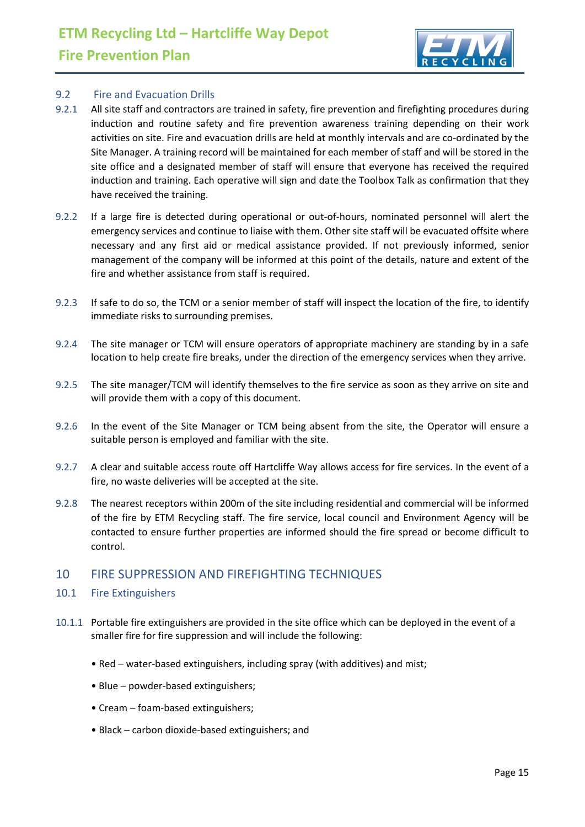

#### <span id="page-14-0"></span>9.2 Fire and Evacuation Drills

- 9.2.1 All site staff and contractors are trained in safety, fire prevention and firefighting procedures during induction and routine safety and fire prevention awareness training depending on their work activities on site. Fire and evacuation drills are held at monthly intervals and are co-ordinated by the Site Manager. A training record will be maintained for each member of staff and will be stored in the site office and a designated member of staff will ensure that everyone has received the required induction and training. Each operative will sign and date the Toolbox Talk as confirmation that they have received the training.
- 9.2.2 If a large fire is detected during operational or out-of-hours, nominated personnel will alert the emergency services and continue to liaise with them. Other site staff will be evacuated offsite where necessary and any first aid or medical assistance provided. If not previously informed, senior management of the company will be informed at this point of the details, nature and extent of the fire and whether assistance from staff is required.
- 9.2.3 If safe to do so, the TCM or a senior member of staff will inspect the location of the fire, to identify immediate risks to surrounding premises.
- 9.2.4 The site manager or TCM will ensure operators of appropriate machinery are standing by in a safe location to help create fire breaks, under the direction of the emergency services when they arrive.
- 9.2.5 The site manager/TCM will identify themselves to the fire service as soon as they arrive on site and will provide them with a copy of this document.
- 9.2.6 In the event of the Site Manager or TCM being absent from the site, the Operator will ensure a suitable person is employed and familiar with the site.
- 9.2.7 A clear and suitable access route off Hartcliffe Way allows access for fire services. In the event of a fire, no waste deliveries will be accepted at the site.
- 9.2.8 The nearest receptors within 200m of the site including residential and commercial will be informed of the fire by ETM Recycling staff. The fire service, local council and Environment Agency will be contacted to ensure further properties are informed should the fire spread or become difficult to control.

# <span id="page-14-1"></span>10 FIRE SUPPRESSION AND FIREFIGHTING TECHNIQUES

- <span id="page-14-2"></span>10.1 Fire Extinguishers
- 10.1.1 Portable fire extinguishers are provided in the site office which can be deployed in the event of a smaller fire for fire suppression and will include the following:
	- Red water-based extinguishers, including spray (with additives) and mist;
	- Blue powder-based extinguishers;
	- Cream foam-based extinguishers;
	- Black carbon dioxide-based extinguishers; and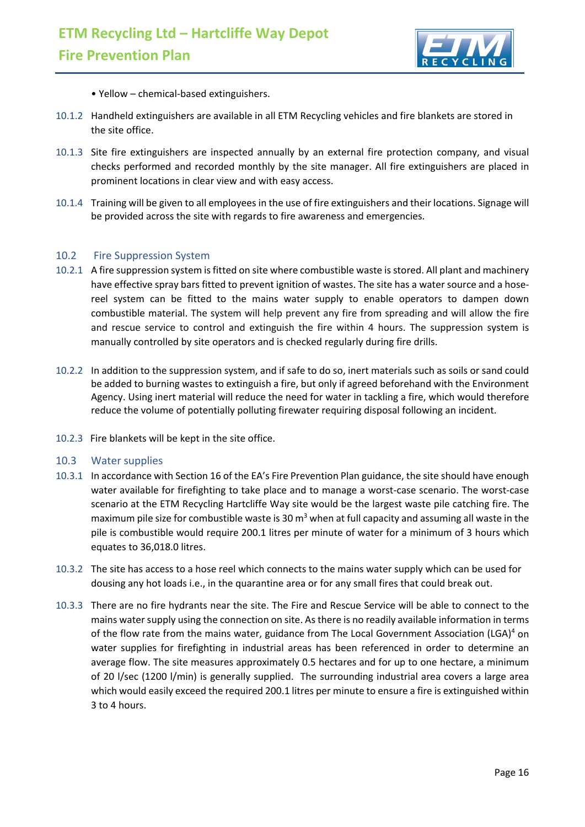

- Yellow chemical-based extinguishers.
- 10.1.2 Handheld extinguishers are available in all ETM Recycling vehicles and fire blankets are stored in the site office.
- 10.1.3 Site fire extinguishers are inspected annually by an external fire protection company, and visual checks performed and recorded monthly by the site manager. All fire extinguishers are placed in prominent locations in clear view and with easy access.
- 10.1.4 Training will be given to all employees in the use of fire extinguishers and their locations. Signage will be provided across the site with regards to fire awareness and emergencies.

#### <span id="page-15-0"></span>10.2 Fire Suppression System

- 10.2.1 A fire suppression system is fitted on site where combustible waste is stored. All plant and machinery have effective spray bars fitted to prevent ignition of wastes. The site has a water source and a hosereel system can be fitted to the mains water supply to enable operators to dampen down combustible material. The system will help prevent any fire from spreading and will allow the fire and rescue service to control and extinguish the fire within 4 hours. The suppression system is manually controlled by site operators and is checked regularly during fire drills.
- 10.2.2 In addition to the suppression system, and if safe to do so, inert materials such as soils or sand could be added to burning wastes to extinguish a fire, but only if agreed beforehand with the Environment Agency. Using inert material will reduce the need for water in tackling a fire, which would therefore reduce the volume of potentially polluting firewater requiring disposal following an incident.
- 10.2.3 Fire blankets will be kept in the site office.

#### <span id="page-15-1"></span>10.3 Water supplies

- 10.3.1 In accordance with Section 16 of the EA's Fire Prevention Plan guidance, the site should have enough water available for firefighting to take place and to manage a worst-case scenario. The worst-case scenario at the ETM Recycling Hartcliffe Way site would be the largest waste pile catching fire. The maximum pile size for combustible waste is 30  $m<sup>3</sup>$  when at full capacity and assuming all waste in the pile is combustible would require 200.1 litres per minute of water for a minimum of 3 hours which equates to 36,018.0 litres.
- 10.3.2 The site has access to a hose reel which connects to the mains water supply which can be used for dousing any hot loads i.e., in the quarantine area or for any small fires that could break out.
- 10.3.3 There are no fire hydrants near the site. The Fire and Rescue Service will be able to connect to the mains water supply using the connection on site. As there is no readily available information in terms of the flow rate from the mains water, guidance from The Local Government Association (LGA)<sup>4</sup> on water supplies for firefighting in industrial areas has been referenced in order to determine an average flow. The site measures approximately 0.5 hectares and for up to one hectare, a minimum of 20 l/sec (1200 l/min) is generally supplied. The surrounding industrial area covers a large area which would easily exceed the required 200.1 litres per minute to ensure a fire is extinguished within 3 to 4 hours.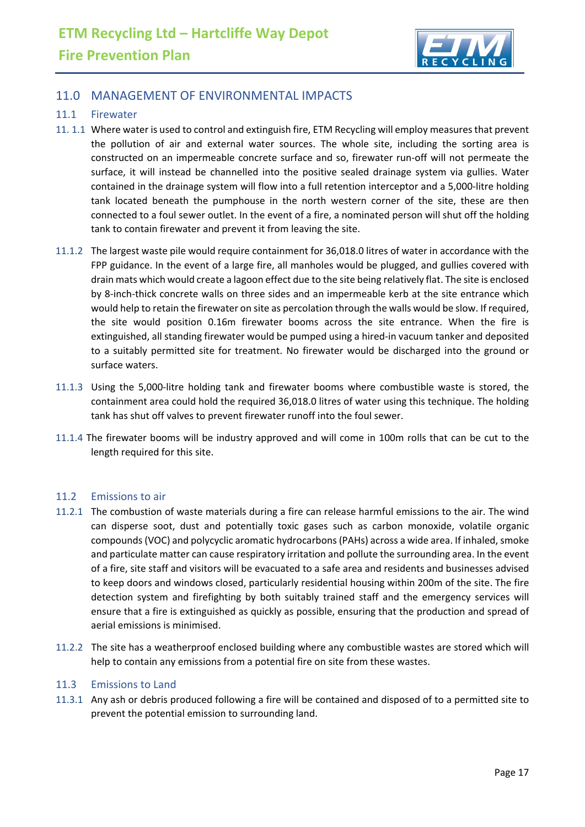

# <span id="page-16-0"></span>11.0 MANAGEMENT OF ENVIRONMENTAL IMPACTS

#### <span id="page-16-1"></span>11.1 Firewater

- 11. 1.1 Where water is used to control and extinguish fire, ETM Recycling will employ measures that prevent the pollution of air and external water sources. The whole site, including the sorting area is constructed on an impermeable concrete surface and so, firewater run-off will not permeate the surface, it will instead be channelled into the positive sealed drainage system via gullies. Water contained in the drainage system will flow into a full retention interceptor and a 5,000-litre holding tank located beneath the pumphouse in the north western corner of the site, these are then connected to a foul sewer outlet. In the event of a fire, a nominated person will shut off the holding tank to contain firewater and prevent it from leaving the site.
- 11.1.2 The largest waste pile would require containment for 36,018.0 litres of water in accordance with the FPP guidance. In the event of a large fire, all manholes would be plugged, and gullies covered with drain mats which would create a lagoon effect due to the site being relatively flat. The site is enclosed by 8-inch-thick concrete walls on three sides and an impermeable kerb at the site entrance which would help to retain the firewater on site as percolation through the walls would be slow. If required, the site would position 0.16m firewater booms across the site entrance. When the fire is extinguished, all standing firewater would be pumped using a hired-in vacuum tanker and deposited to a suitably permitted site for treatment. No firewater would be discharged into the ground or surface waters.
- 11.1.3 Using the 5,000-litre holding tank and firewater booms where combustible waste is stored, the containment area could hold the required 36,018.0 litres of water using this technique. The holding tank has shut off valves to prevent firewater runoff into the foul sewer.
- 11.1.4 The firewater booms will be industry approved and will come in 100m rolls that can be cut to the length required for this site.

#### <span id="page-16-2"></span>11.2 Emissions to air

- 11.2.1 The combustion of waste materials during a fire can release harmful emissions to the air. The wind can disperse soot, dust and potentially toxic gases such as carbon monoxide, volatile organic compounds (VOC) and polycyclic aromatic hydrocarbons (PAHs) across a wide area. If inhaled, smoke and particulate matter can cause respiratory irritation and pollute the surrounding area. In the event of a fire, site staff and visitors will be evacuated to a safe area and residents and businesses advised to keep doors and windows closed, particularly residential housing within 200m of the site. The fire detection system and firefighting by both suitably trained staff and the emergency services will ensure that a fire is extinguished as quickly as possible, ensuring that the production and spread of aerial emissions is minimised.
- 11.2.2 The site has a weatherproof enclosed building where any combustible wastes are stored which will help to contain any emissions from a potential fire on site from these wastes.

#### <span id="page-16-3"></span>11.3 Emissions to Land

11.3.1 Any ash or debris produced following a fire will be contained and disposed of to a permitted site to prevent the potential emission to surrounding land.